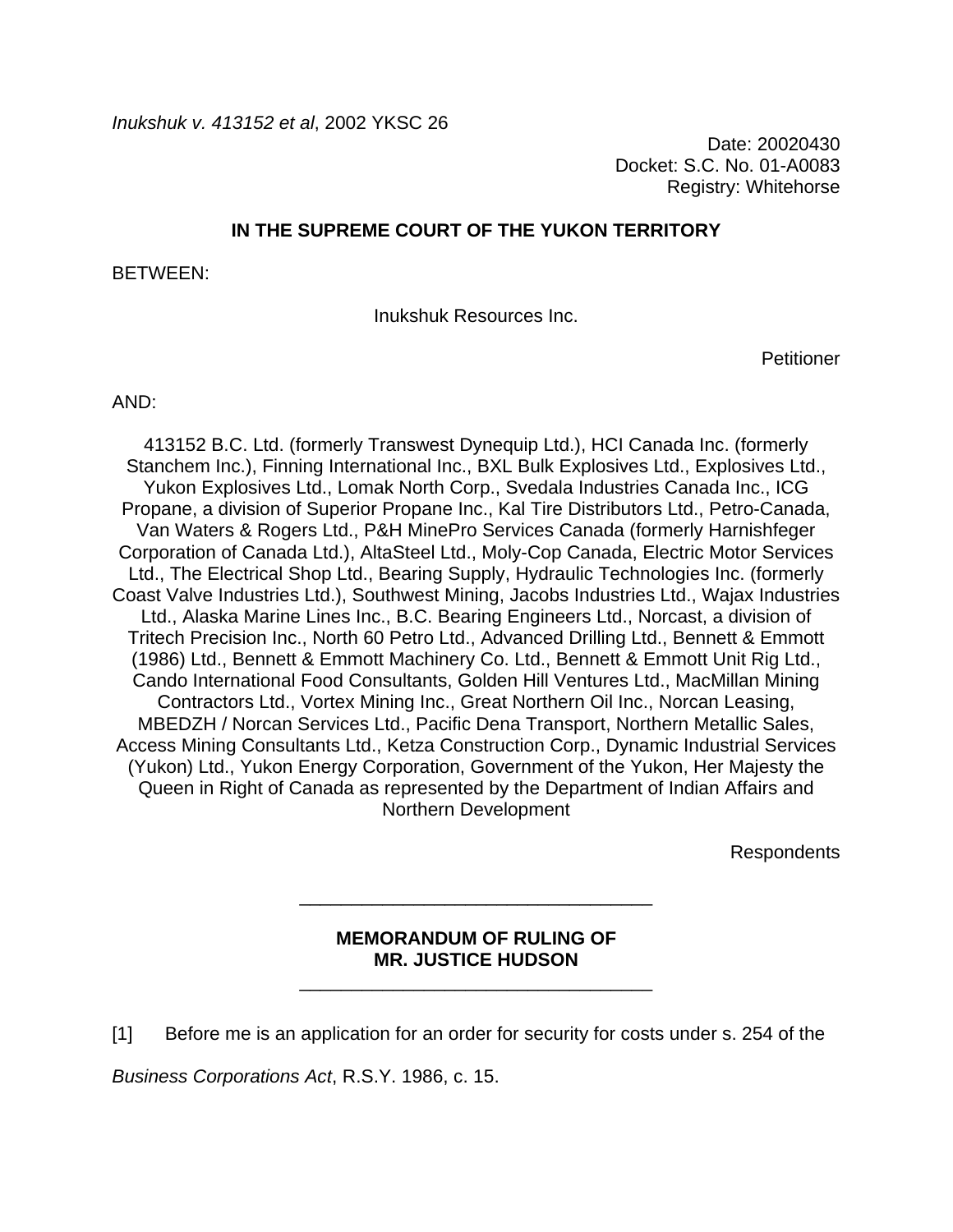Date: 20020430 Docket: S.C. No. 01-A0083 Registry: Whitehorse

# **IN THE SUPREME COURT OF THE YUKON TERRITORY**

BETWEEN:

Inukshuk Resources Inc.

Petitioner

AND:

413152 B.C. Ltd. (formerly Transwest Dynequip Ltd.), HCI Canada Inc. (formerly Stanchem Inc.), Finning International Inc., BXL Bulk Explosives Ltd., Explosives Ltd., Yukon Explosives Ltd., Lomak North Corp., Svedala Industries Canada Inc., ICG Propane, a division of Superior Propane Inc., Kal Tire Distributors Ltd., Petro-Canada, Van Waters & Rogers Ltd., P&H MinePro Services Canada (formerly Harnishfeger Corporation of Canada Ltd.), AltaSteel Ltd., Moly-Cop Canada, Electric Motor Services Ltd., The Electrical Shop Ltd., Bearing Supply, Hydraulic Technologies Inc. (formerly Coast Valve Industries Ltd.), Southwest Mining, Jacobs Industries Ltd., Wajax Industries Ltd., Alaska Marine Lines Inc., B.C. Bearing Engineers Ltd., Norcast, a division of Tritech Precision Inc., North 60 Petro Ltd., Advanced Drilling Ltd., Bennett & Emmott (1986) Ltd., Bennett & Emmott Machinery Co. Ltd., Bennett & Emmott Unit Rig Ltd., Cando International Food Consultants, Golden Hill Ventures Ltd., MacMillan Mining Contractors Ltd., Vortex Mining Inc., Great Northern Oil Inc., Norcan Leasing, MBEDZH / Norcan Services Ltd., Pacific Dena Transport, Northern Metallic Sales, Access Mining Consultants Ltd., Ketza Construction Corp., Dynamic Industrial Services (Yukon) Ltd., Yukon Energy Corporation, Government of the Yukon, Her Majesty the Queen in Right of Canada as represented by the Department of Indian Affairs and Northern Development

**Respondents** 

# **MEMORANDUM OF RULING OF MR. JUSTICE HUDSON**

\_\_\_\_\_\_\_\_\_\_\_\_\_\_\_\_\_\_\_\_\_\_\_\_\_\_\_\_\_\_\_\_\_\_

\_\_\_\_\_\_\_\_\_\_\_\_\_\_\_\_\_\_\_\_\_\_\_\_\_\_\_\_\_\_\_\_\_\_

[1] Before me is an application for an order for security for costs under s. 254 of the

*Business Corporations Act*, R.S.Y. 1986, c. 15.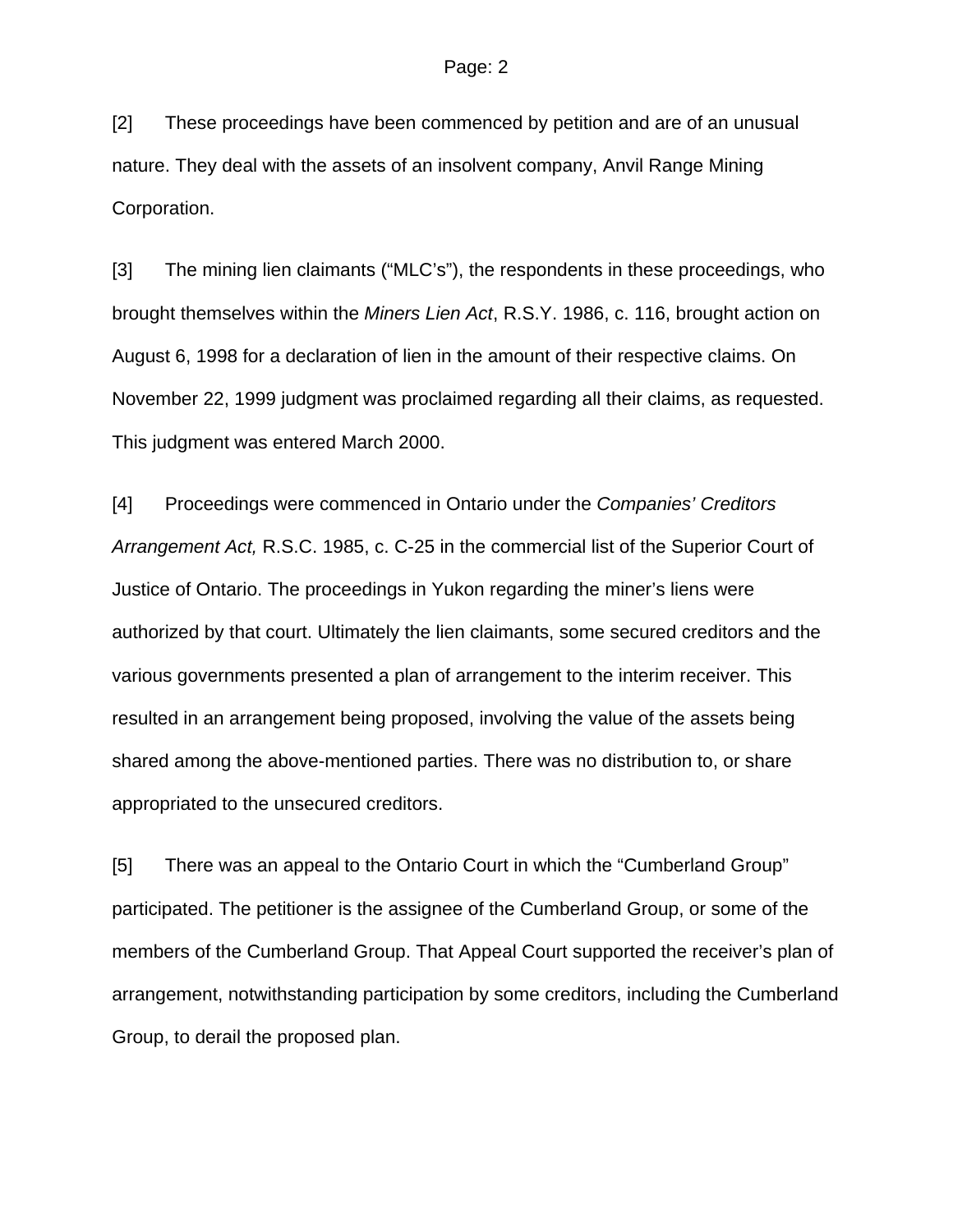[2] These proceedings have been commenced by petition and are of an unusual nature. They deal with the assets of an insolvent company, Anvil Range Mining Corporation.

[3] The mining lien claimants ("MLC's"), the respondents in these proceedings, who brought themselves within the *Miners Lien Act*, R.S.Y. 1986, c. 116, brought action on August 6, 1998 for a declaration of lien in the amount of their respective claims. On November 22, 1999 judgment was proclaimed regarding all their claims, as requested. This judgment was entered March 2000.

[4] Proceedings were commenced in Ontario under the *Companies' Creditors Arrangement Act,* R.S.C. 1985, c. C-25 in the commercial list of the Superior Court of Justice of Ontario. The proceedings in Yukon regarding the miner's liens were authorized by that court. Ultimately the lien claimants, some secured creditors and the various governments presented a plan of arrangement to the interim receiver. This resulted in an arrangement being proposed, involving the value of the assets being shared among the above-mentioned parties. There was no distribution to, or share appropriated to the unsecured creditors.

[5] There was an appeal to the Ontario Court in which the "Cumberland Group" participated. The petitioner is the assignee of the Cumberland Group, or some of the members of the Cumberland Group. That Appeal Court supported the receiver's plan of arrangement, notwithstanding participation by some creditors, including the Cumberland Group, to derail the proposed plan.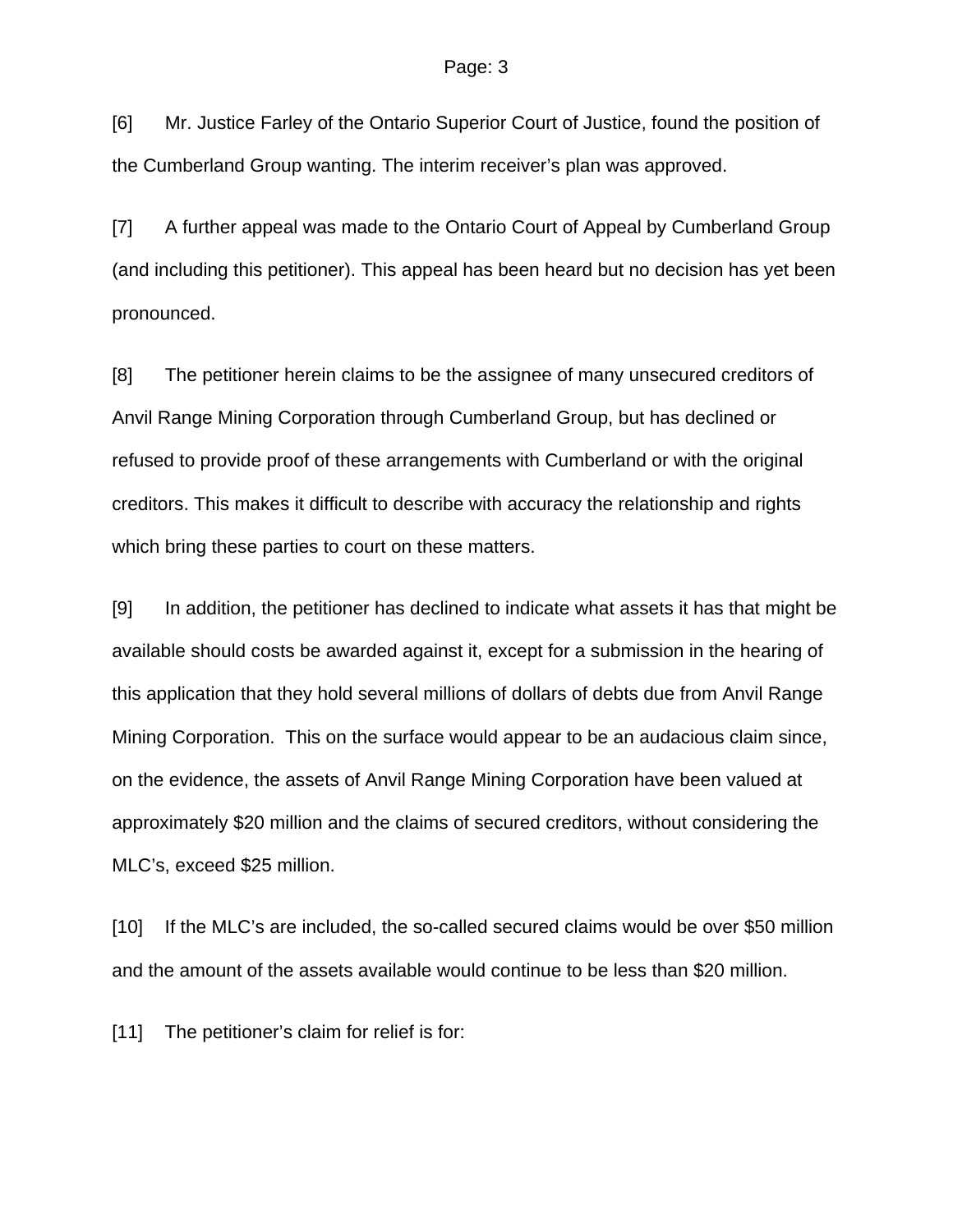[6] Mr. Justice Farley of the Ontario Superior Court of Justice, found the position of the Cumberland Group wanting. The interim receiver's plan was approved.

[7] A further appeal was made to the Ontario Court of Appeal by Cumberland Group (and including this petitioner). This appeal has been heard but no decision has yet been pronounced.

[8] The petitioner herein claims to be the assignee of many unsecured creditors of Anvil Range Mining Corporation through Cumberland Group, but has declined or refused to provide proof of these arrangements with Cumberland or with the original creditors. This makes it difficult to describe with accuracy the relationship and rights which bring these parties to court on these matters.

[9] In addition, the petitioner has declined to indicate what assets it has that might be available should costs be awarded against it, except for a submission in the hearing of this application that they hold several millions of dollars of debts due from Anvil Range Mining Corporation. This on the surface would appear to be an audacious claim since, on the evidence, the assets of Anvil Range Mining Corporation have been valued at approximately \$20 million and the claims of secured creditors, without considering the MLC's, exceed \$25 million.

[10] If the MLC's are included, the so-called secured claims would be over \$50 million and the amount of the assets available would continue to be less than \$20 million.

[11] The petitioner's claim for relief is for: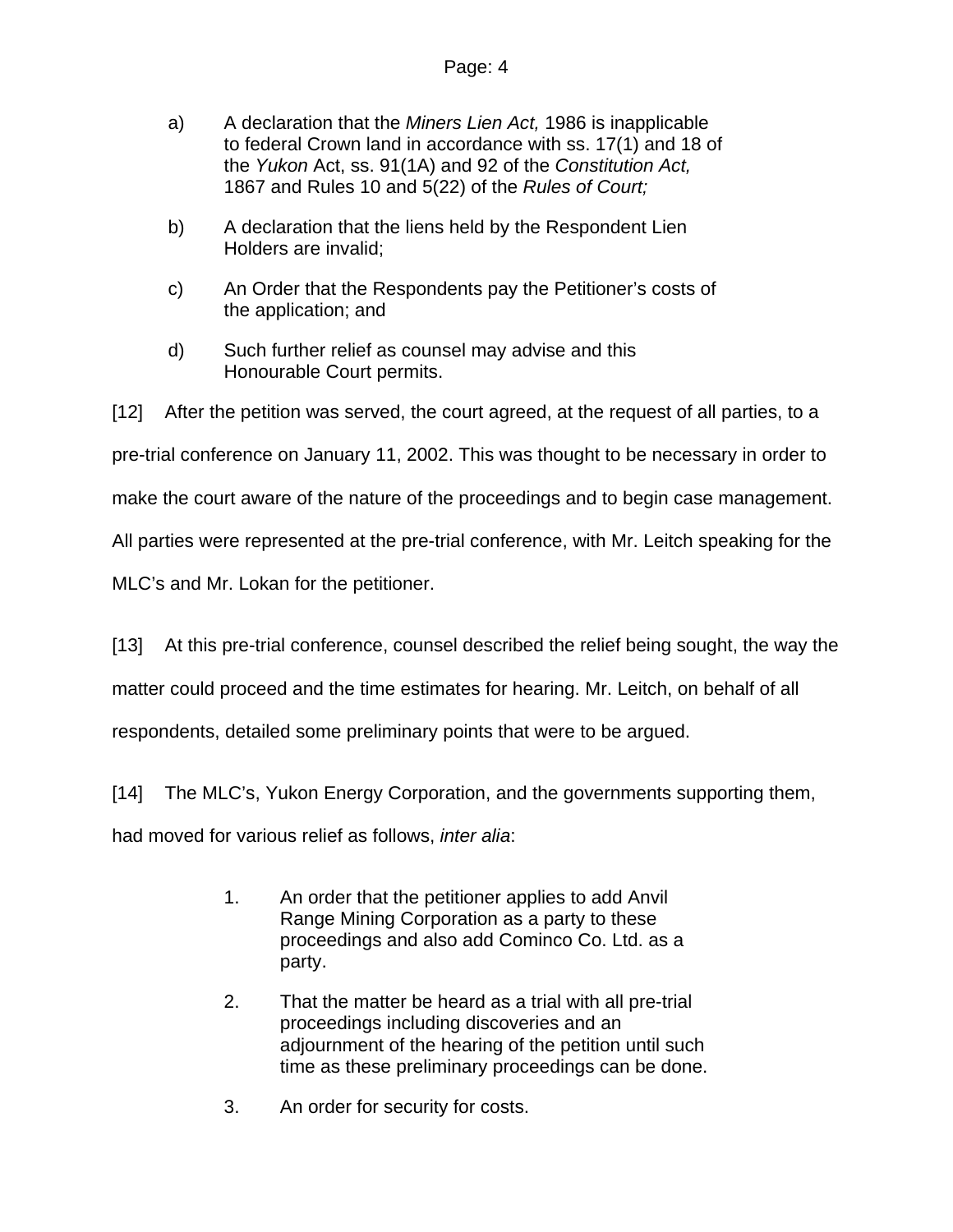- a) A declaration that the *Miners Lien Act,* 1986 is inapplicable to federal Crown land in accordance with ss. 17(1) and 18 of the *Yukon* Act, ss. 91(1A) and 92 of the *Constitution Act,*  1867 and Rules 10 and 5(22) of the *Rules of Court;*
- b) A declaration that the liens held by the Respondent Lien Holders are invalid;
- c) An Order that the Respondents pay the Petitioner's costs of the application; and
- d) Such further relief as counsel may advise and this Honourable Court permits.

[12] After the petition was served, the court agreed, at the request of all parties, to a

pre-trial conference on January 11, 2002. This was thought to be necessary in order to

make the court aware of the nature of the proceedings and to begin case management.

All parties were represented at the pre-trial conference, with Mr. Leitch speaking for the

MLC's and Mr. Lokan for the petitioner.

[13] At this pre-trial conference, counsel described the relief being sought, the way the

matter could proceed and the time estimates for hearing. Mr. Leitch, on behalf of all

respondents, detailed some preliminary points that were to be argued.

[14] The MLC's, Yukon Energy Corporation, and the governments supporting them,

had moved for various relief as follows, *inter alia*:

- 1. An order that the petitioner applies to add Anvil Range Mining Corporation as a party to these proceedings and also add Cominco Co. Ltd. as a party.
- 2. That the matter be heard as a trial with all pre-trial proceedings including discoveries and an adjournment of the hearing of the petition until such time as these preliminary proceedings can be done.
- 3. An order for security for costs.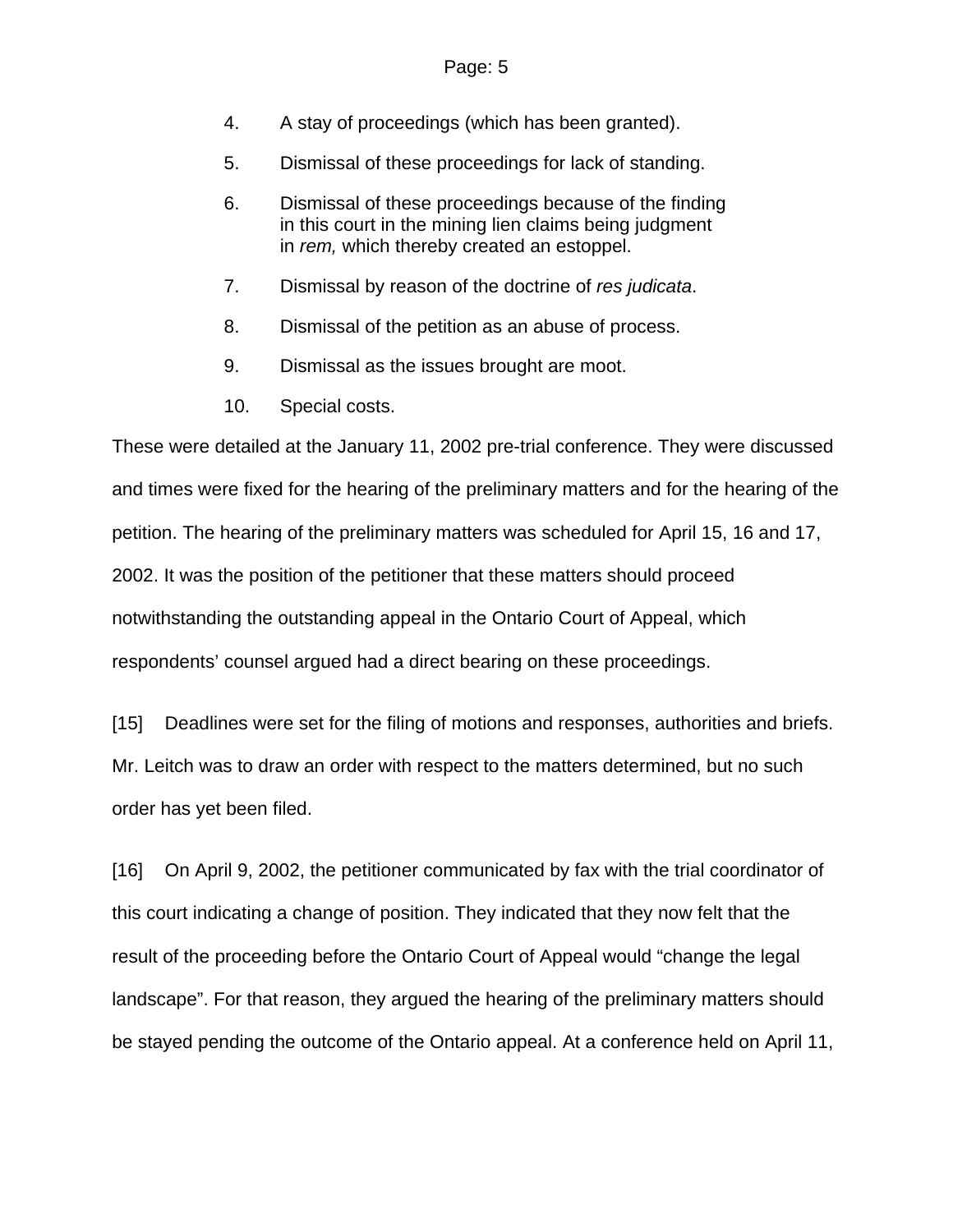- 4. A stay of proceedings (which has been granted).
- 5. Dismissal of these proceedings for lack of standing.
- 6. Dismissal of these proceedings because of the finding in this court in the mining lien claims being judgment in *rem,* which thereby created an estoppel.
- 7. Dismissal by reason of the doctrine of *res judicata*.
- 8. Dismissal of the petition as an abuse of process.
- 9. Dismissal as the issues brought are moot.
- 10. Special costs.

These were detailed at the January 11, 2002 pre-trial conference. They were discussed and times were fixed for the hearing of the preliminary matters and for the hearing of the petition. The hearing of the preliminary matters was scheduled for April 15, 16 and 17, 2002. It was the position of the petitioner that these matters should proceed notwithstanding the outstanding appeal in the Ontario Court of Appeal, which respondents' counsel argued had a direct bearing on these proceedings.

[15] Deadlines were set for the filing of motions and responses, authorities and briefs. Mr. Leitch was to draw an order with respect to the matters determined, but no such order has yet been filed.

[16] On April 9, 2002, the petitioner communicated by fax with the trial coordinator of this court indicating a change of position. They indicated that they now felt that the result of the proceeding before the Ontario Court of Appeal would "change the legal landscape". For that reason, they argued the hearing of the preliminary matters should be stayed pending the outcome of the Ontario appeal. At a conference held on April 11,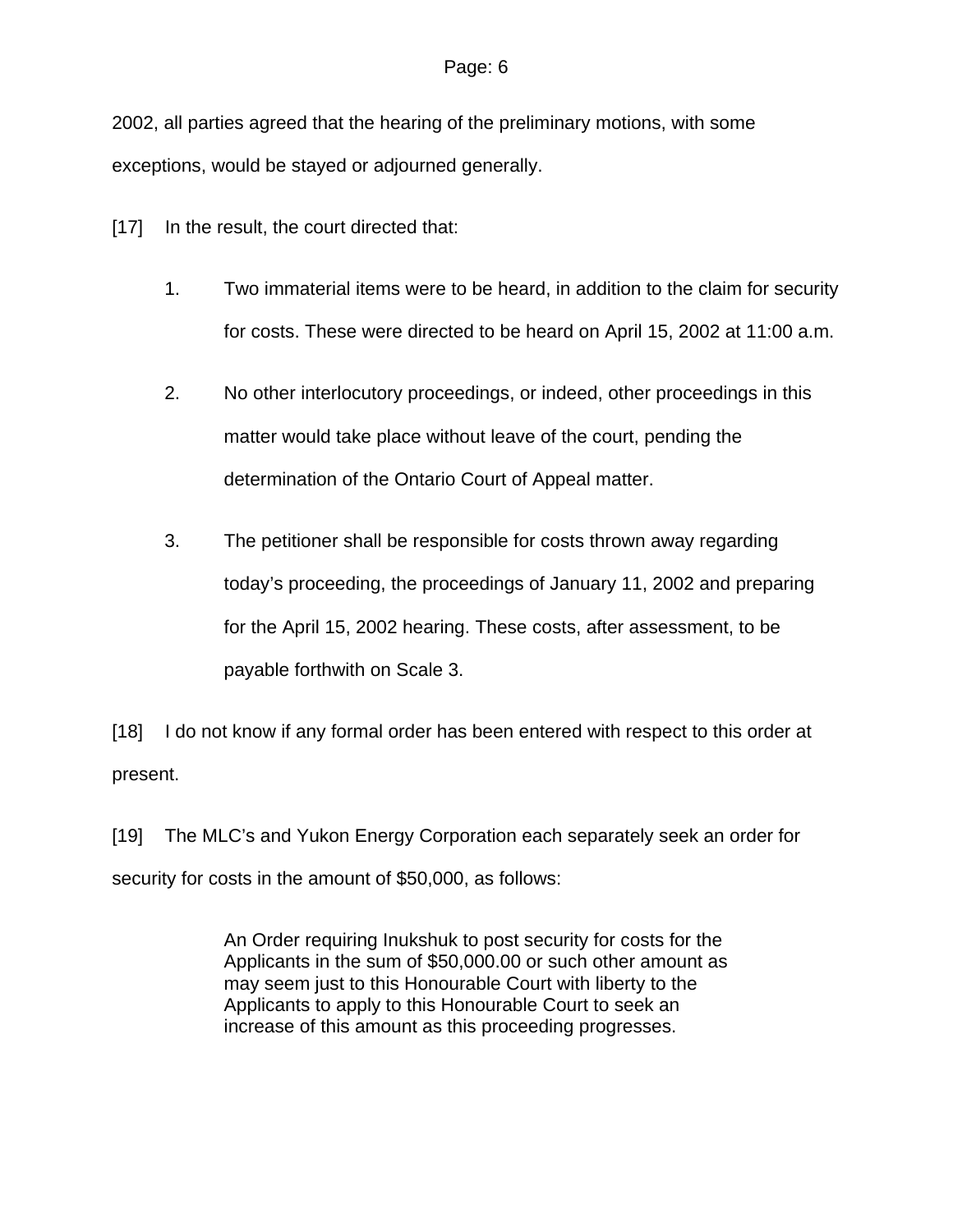2002, all parties agreed that the hearing of the preliminary motions, with some exceptions, would be stayed or adjourned generally.

[17] In the result, the court directed that:

- 1. Two immaterial items were to be heard, in addition to the claim for security for costs. These were directed to be heard on April 15, 2002 at 11:00 a.m.
- 2. No other interlocutory proceedings, or indeed, other proceedings in this matter would take place without leave of the court, pending the determination of the Ontario Court of Appeal matter.
- 3. The petitioner shall be responsible for costs thrown away regarding today's proceeding, the proceedings of January 11, 2002 and preparing for the April 15, 2002 hearing. These costs, after assessment, to be payable forthwith on Scale 3.

[18] I do not know if any formal order has been entered with respect to this order at present.

[19] The MLC's and Yukon Energy Corporation each separately seek an order for security for costs in the amount of \$50,000, as follows:

> An Order requiring Inukshuk to post security for costs for the Applicants in the sum of \$50,000.00 or such other amount as may seem just to this Honourable Court with liberty to the Applicants to apply to this Honourable Court to seek an increase of this amount as this proceeding progresses.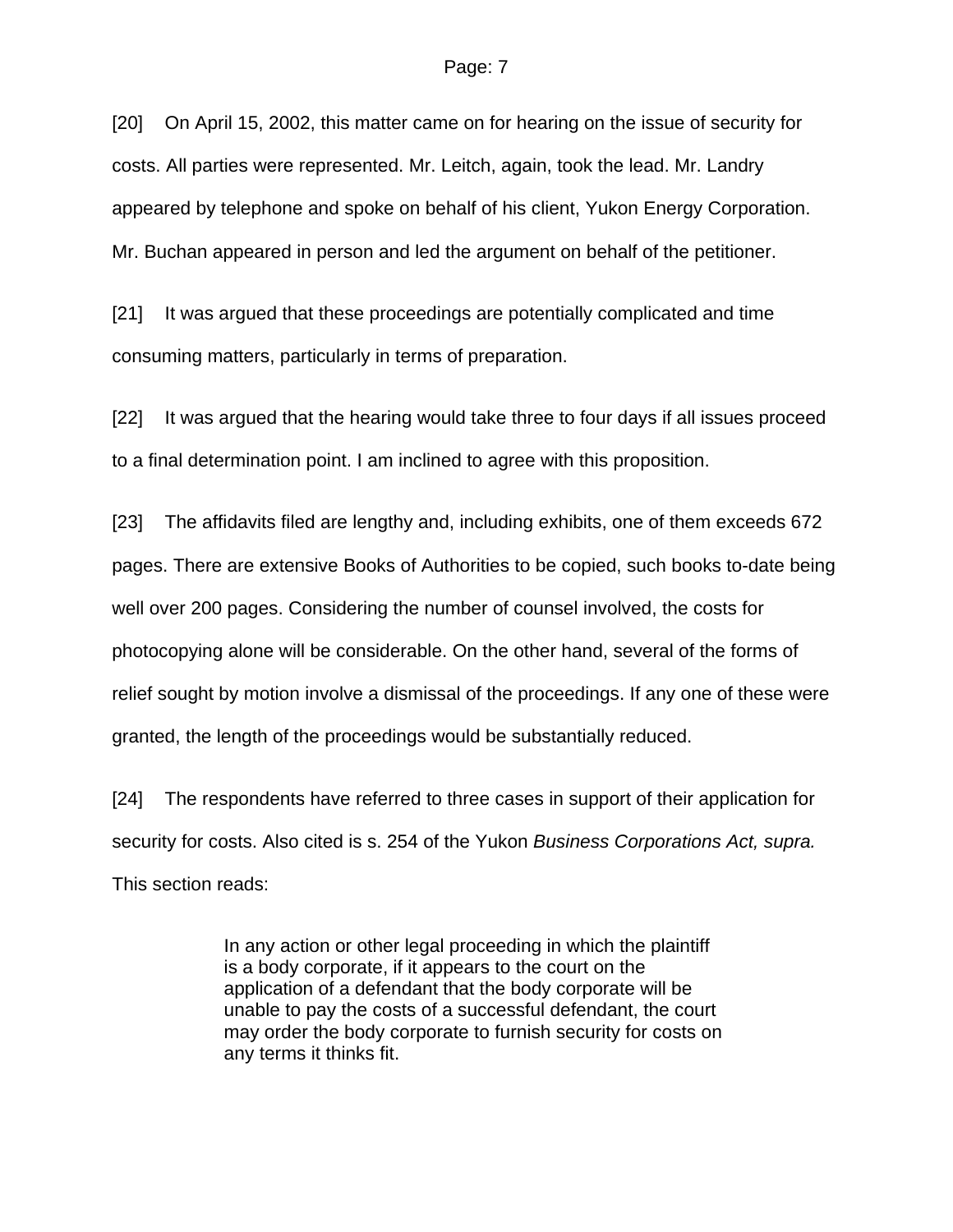[20] On April 15, 2002, this matter came on for hearing on the issue of security for costs. All parties were represented. Mr. Leitch, again, took the lead. Mr. Landry appeared by telephone and spoke on behalf of his client, Yukon Energy Corporation. Mr. Buchan appeared in person and led the argument on behalf of the petitioner.

[21] It was argued that these proceedings are potentially complicated and time consuming matters, particularly in terms of preparation.

[22] It was argued that the hearing would take three to four days if all issues proceed to a final determination point. I am inclined to agree with this proposition.

[23] The affidavits filed are lengthy and, including exhibits, one of them exceeds 672 pages. There are extensive Books of Authorities to be copied, such books to-date being well over 200 pages. Considering the number of counsel involved, the costs for photocopying alone will be considerable. On the other hand, several of the forms of relief sought by motion involve a dismissal of the proceedings. If any one of these were granted, the length of the proceedings would be substantially reduced.

[24] The respondents have referred to three cases in support of their application for security for costs. Also cited is s. 254 of the Yukon *Business Corporations Act, supra.*  This section reads:

> In any action or other legal proceeding in which the plaintiff is a body corporate, if it appears to the court on the application of a defendant that the body corporate will be unable to pay the costs of a successful defendant, the court may order the body corporate to furnish security for costs on any terms it thinks fit.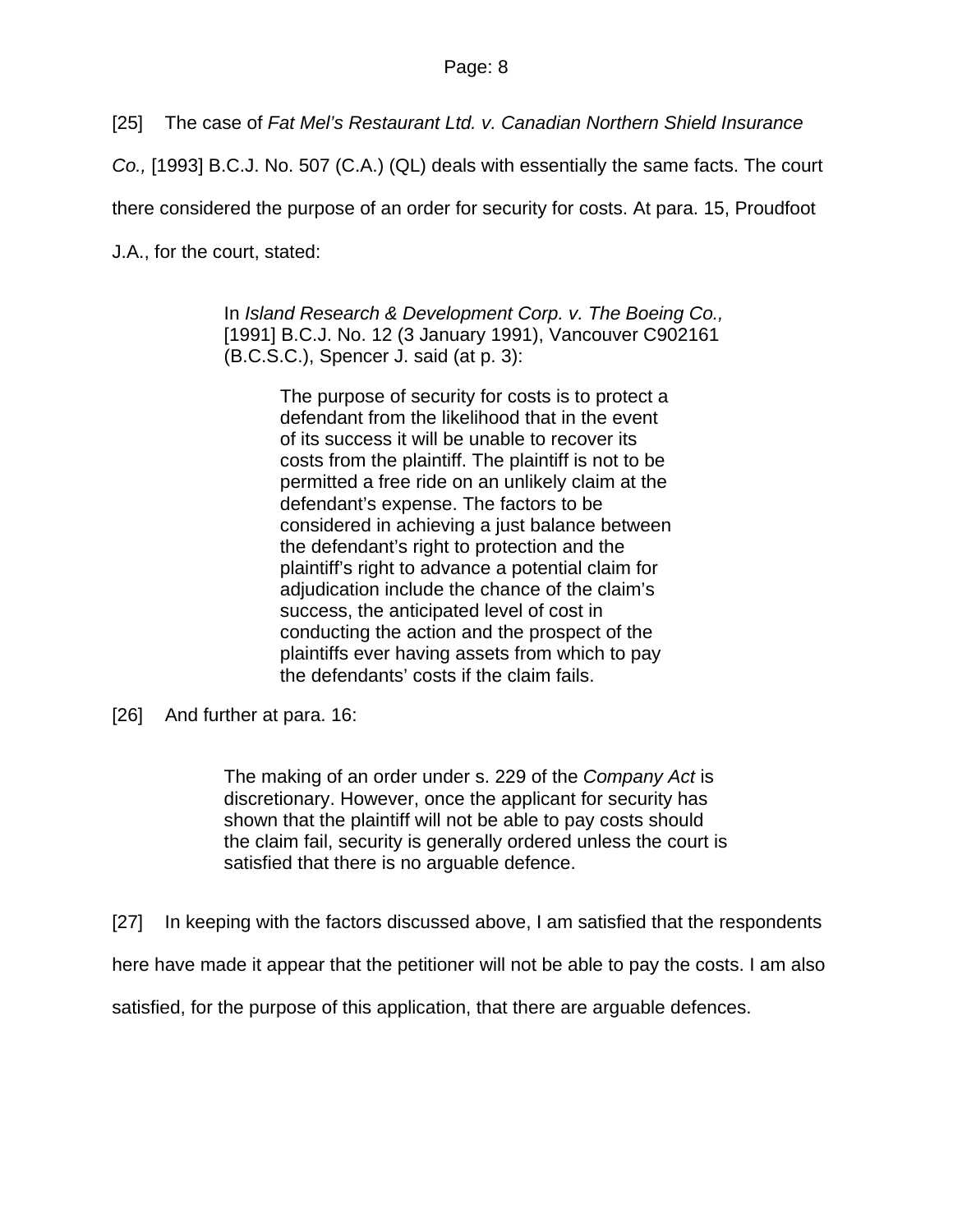[25] The case of *Fat Mel's Restaurant Ltd. v. Canadian Northern Shield Insurance* 

*Co.,* [1993] B.C.J. No. 507 (C.A.) (QL) deals with essentially the same facts. The court

there considered the purpose of an order for security for costs. At para. 15, Proudfoot

J.A., for the court, stated:

In *Island Research & Development Corp. v. The Boeing Co.,*  [1991] B.C.J. No. 12 (3 January 1991), Vancouver C902161 (B.C.S.C.), Spencer J. said (at p. 3):

> The purpose of security for costs is to protect a defendant from the likelihood that in the event of its success it will be unable to recover its costs from the plaintiff. The plaintiff is not to be permitted a free ride on an unlikely claim at the defendant's expense. The factors to be considered in achieving a just balance between the defendant's right to protection and the plaintiff's right to advance a potential claim for adjudication include the chance of the claim's success, the anticipated level of cost in conducting the action and the prospect of the plaintiffs ever having assets from which to pay the defendants' costs if the claim fails.

The making of an order under s. 229 of the *Company Act* is discretionary. However, once the applicant for security has shown that the plaintiff will not be able to pay costs should the claim fail, security is generally ordered unless the court is satisfied that there is no arguable defence.

[27] In keeping with the factors discussed above, I am satisfied that the respondents

here have made it appear that the petitioner will not be able to pay the costs. I am also

satisfied, for the purpose of this application, that there are arguable defences.

<sup>[26]</sup> And further at para. 16: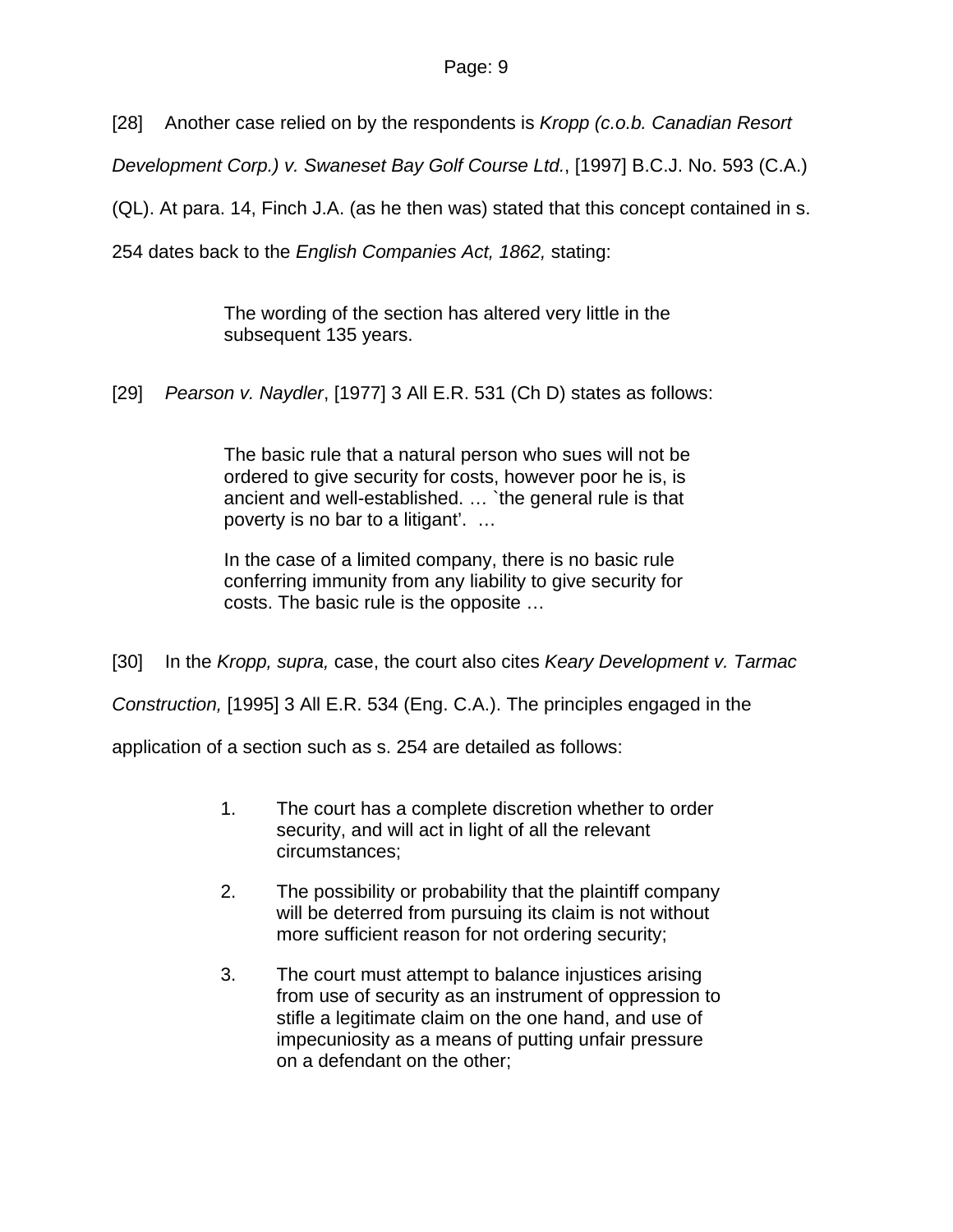[28] Another case relied on by the respondents is *Kropp (c.o.b. Canadian Resort* 

*Development Corp.) v. Swaneset Bay Golf Course Ltd.*, [1997] B.C.J. No. 593 (C.A.)

(QL). At para. 14, Finch J.A. (as he then was) stated that this concept contained in s.

254 dates back to the *English Companies Act, 1862,* stating:

The wording of the section has altered very little in the subsequent 135 years.

[29] *Pearson v. Naydler*, [1977] 3 All E.R. 531 (Ch D) states as follows:

The basic rule that a natural person who sues will not be ordered to give security for costs, however poor he is, is ancient and well-established. … `the general rule is that poverty is no bar to a litigant'. …

In the case of a limited company, there is no basic rule conferring immunity from any liability to give security for costs. The basic rule is the opposite …

[30] In the *Kropp, supra,* case, the court also cites *Keary Development v. Tarmac* 

*Construction,* [1995] 3 All E.R. 534 (Eng. C.A.). The principles engaged in the

application of a section such as s. 254 are detailed as follows:

- 1. The court has a complete discretion whether to order security, and will act in light of all the relevant circumstances;
- 2. The possibility or probability that the plaintiff company will be deterred from pursuing its claim is not without more sufficient reason for not ordering security;
- 3. The court must attempt to balance injustices arising from use of security as an instrument of oppression to stifle a legitimate claim on the one hand, and use of impecuniosity as a means of putting unfair pressure on a defendant on the other;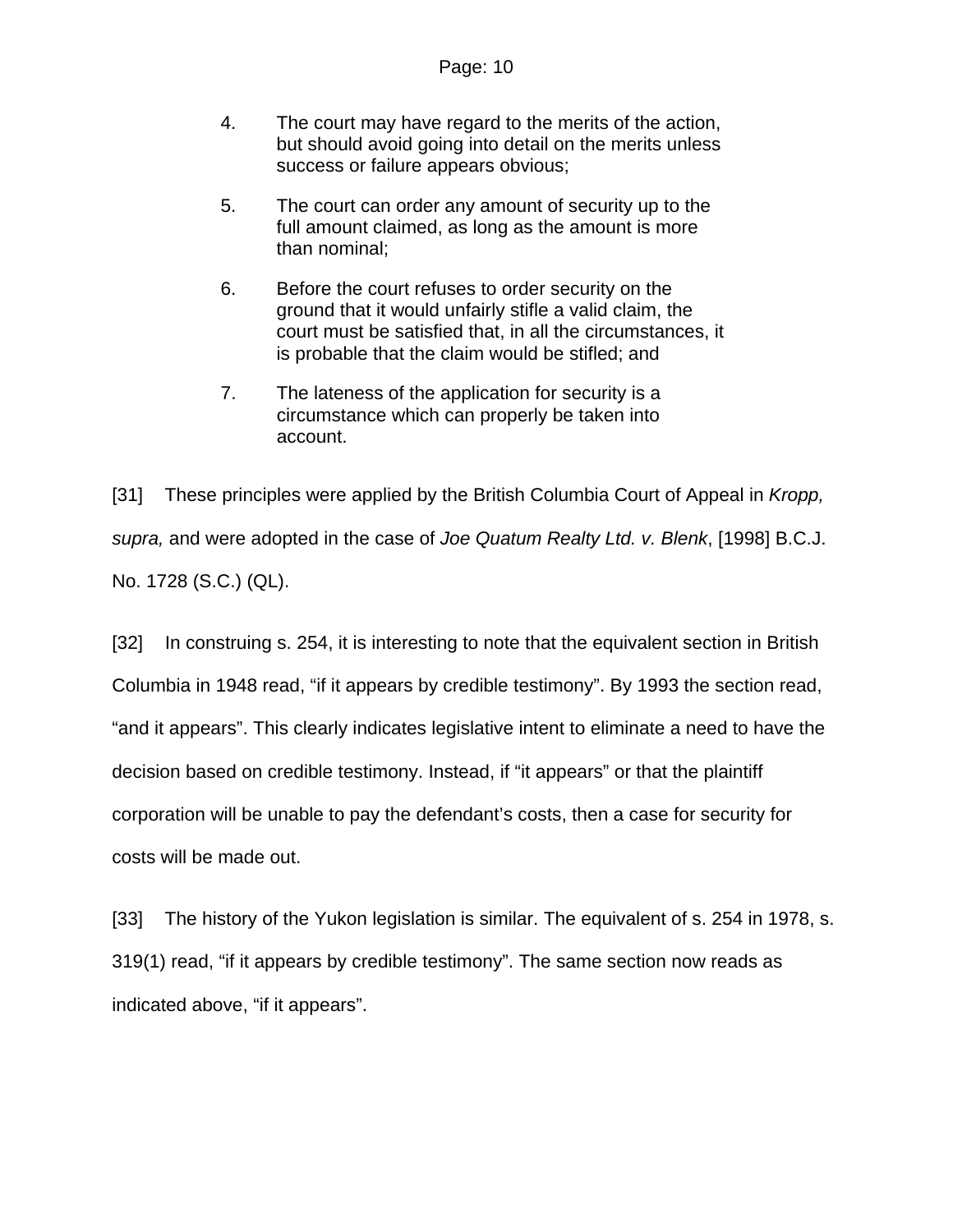- 4. The court may have regard to the merits of the action, but should avoid going into detail on the merits unless success or failure appears obvious;
- 5. The court can order any amount of security up to the full amount claimed, as long as the amount is more than nominal;
- 6. Before the court refuses to order security on the ground that it would unfairly stifle a valid claim, the court must be satisfied that, in all the circumstances, it is probable that the claim would be stifled; and
- 7. The lateness of the application for security is a circumstance which can properly be taken into account.

[31] These principles were applied by the British Columbia Court of Appeal in *Kropp, supra,* and were adopted in the case of *Joe Quatum Realty Ltd. v. Blenk*, [1998] B.C.J. No. 1728 (S.C.) (QL).

[32] In construing s. 254, it is interesting to note that the equivalent section in British Columbia in 1948 read, "if it appears by credible testimony". By 1993 the section read, "and it appears". This clearly indicates legislative intent to eliminate a need to have the decision based on credible testimony. Instead, if "it appears" or that the plaintiff corporation will be unable to pay the defendant's costs, then a case for security for costs will be made out.

[33] The history of the Yukon legislation is similar. The equivalent of s. 254 in 1978, s. 319(1) read, "if it appears by credible testimony". The same section now reads as indicated above, "if it appears".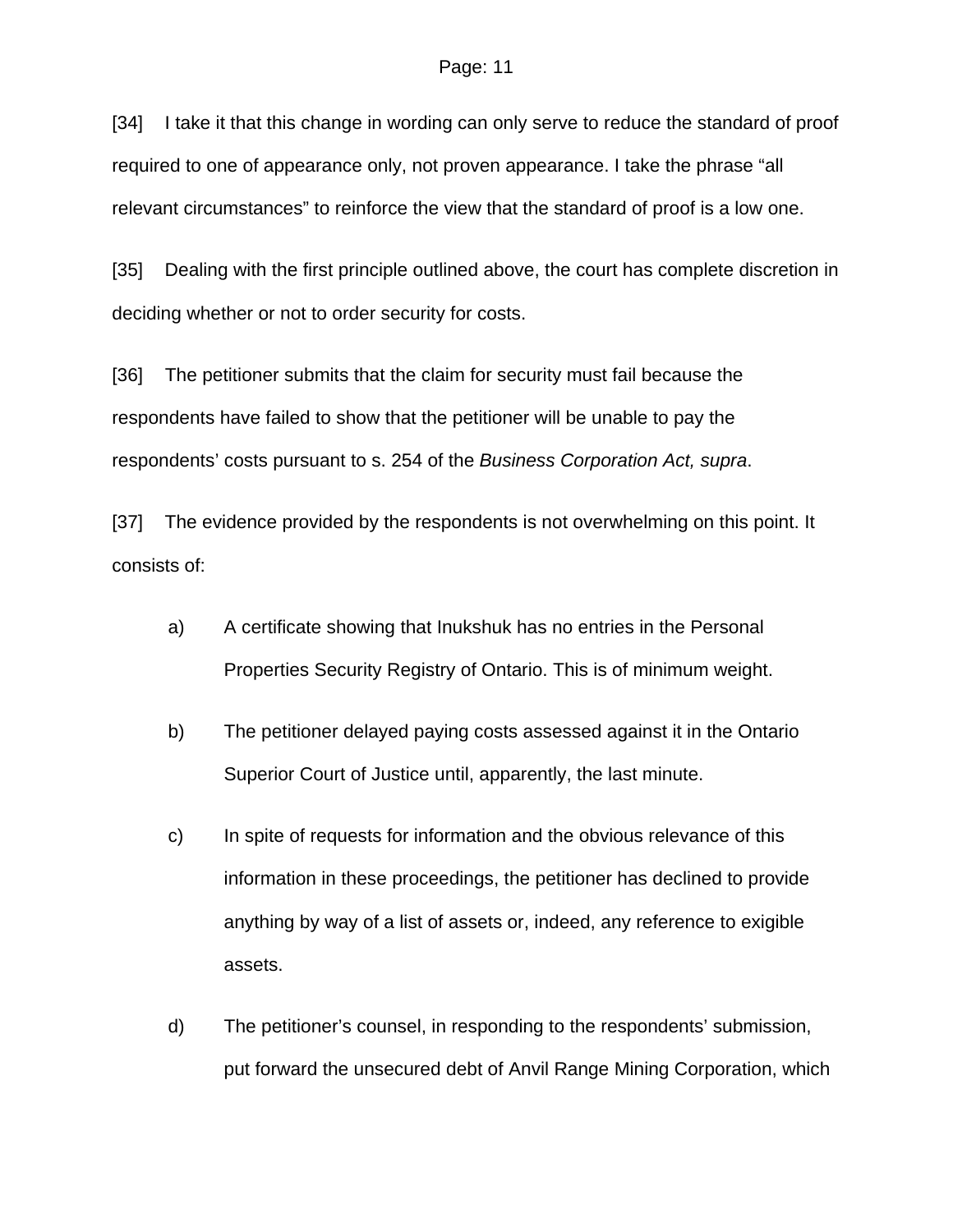[34] I take it that this change in wording can only serve to reduce the standard of proof required to one of appearance only, not proven appearance. I take the phrase "all relevant circumstances" to reinforce the view that the standard of proof is a low one.

[35] Dealing with the first principle outlined above, the court has complete discretion in deciding whether or not to order security for costs.

[36] The petitioner submits that the claim for security must fail because the respondents have failed to show that the petitioner will be unable to pay the respondents' costs pursuant to s. 254 of the *Business Corporation Act, supra*.

[37] The evidence provided by the respondents is not overwhelming on this point. It consists of:

- a) A certificate showing that Inukshuk has no entries in the Personal Properties Security Registry of Ontario. This is of minimum weight.
- b) The petitioner delayed paying costs assessed against it in the Ontario Superior Court of Justice until, apparently, the last minute.
- c) In spite of requests for information and the obvious relevance of this information in these proceedings, the petitioner has declined to provide anything by way of a list of assets or, indeed, any reference to exigible assets.
- d) The petitioner's counsel, in responding to the respondents' submission, put forward the unsecured debt of Anvil Range Mining Corporation, which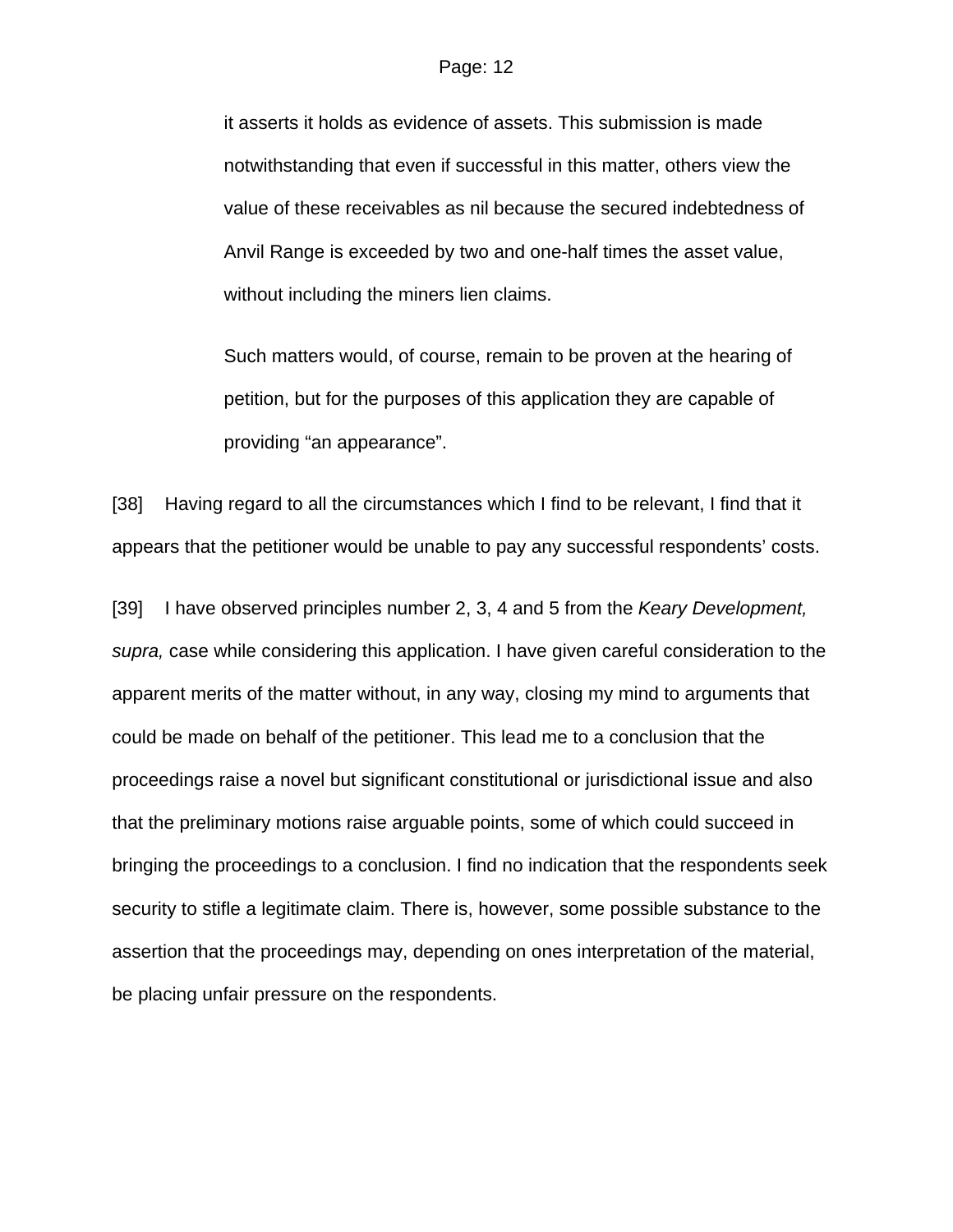it asserts it holds as evidence of assets. This submission is made notwithstanding that even if successful in this matter, others view the value of these receivables as nil because the secured indebtedness of Anvil Range is exceeded by two and one-half times the asset value, without including the miners lien claims.

 Such matters would, of course, remain to be proven at the hearing of petition, but for the purposes of this application they are capable of providing "an appearance".

[38] Having regard to all the circumstances which I find to be relevant, I find that it appears that the petitioner would be unable to pay any successful respondents' costs.

[39] I have observed principles number 2, 3, 4 and 5 from the *Keary Development, supra,* case while considering this application. I have given careful consideration to the apparent merits of the matter without, in any way, closing my mind to arguments that could be made on behalf of the petitioner. This lead me to a conclusion that the proceedings raise a novel but significant constitutional or jurisdictional issue and also that the preliminary motions raise arguable points, some of which could succeed in bringing the proceedings to a conclusion. I find no indication that the respondents seek security to stifle a legitimate claim. There is, however, some possible substance to the assertion that the proceedings may, depending on ones interpretation of the material, be placing unfair pressure on the respondents.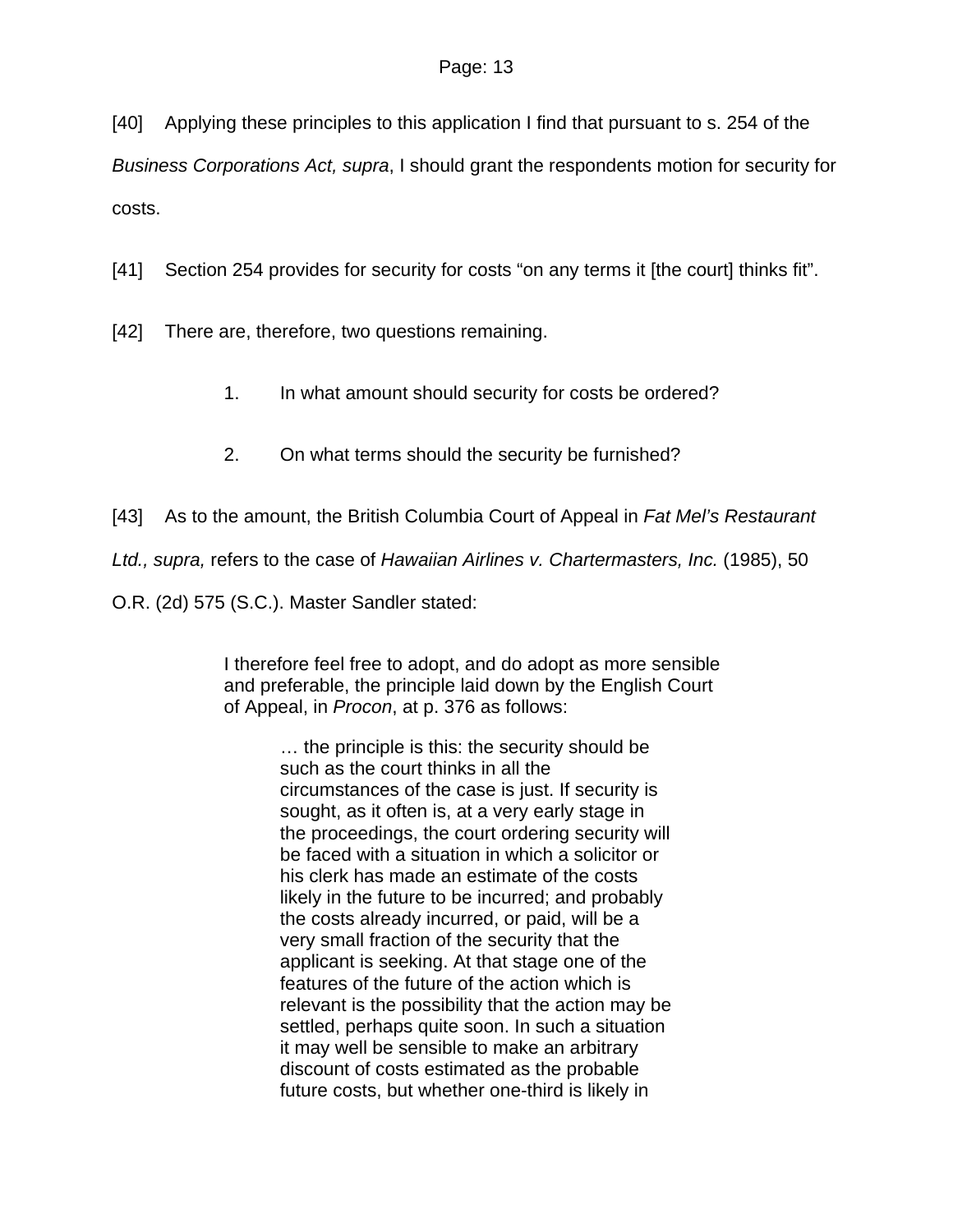[40] Applying these principles to this application I find that pursuant to s. 254 of the

*Business Corporations Act, supra*, I should grant the respondents motion for security for costs.

[41] Section 254 provides for security for costs "on any terms it [the court] thinks fit".

[42] There are, therefore, two questions remaining.

- 1. In what amount should security for costs be ordered?
- 2. On what terms should the security be furnished?
- [43] As to the amount, the British Columbia Court of Appeal in *Fat Mel's Restaurant*

*Ltd., supra,* refers to the case of *Hawaiian Airlines v. Chartermasters, Inc.* (1985), 50

O.R. (2d) 575 (S.C.). Master Sandler stated:

I therefore feel free to adopt, and do adopt as more sensible and preferable, the principle laid down by the English Court of Appeal, in *Procon*, at p. 376 as follows:

> … the principle is this: the security should be such as the court thinks in all the circumstances of the case is just. If security is sought, as it often is, at a very early stage in the proceedings, the court ordering security will be faced with a situation in which a solicitor or his clerk has made an estimate of the costs likely in the future to be incurred; and probably the costs already incurred, or paid, will be a very small fraction of the security that the applicant is seeking. At that stage one of the features of the future of the action which is relevant is the possibility that the action may be settled, perhaps quite soon. In such a situation it may well be sensible to make an arbitrary discount of costs estimated as the probable future costs, but whether one-third is likely in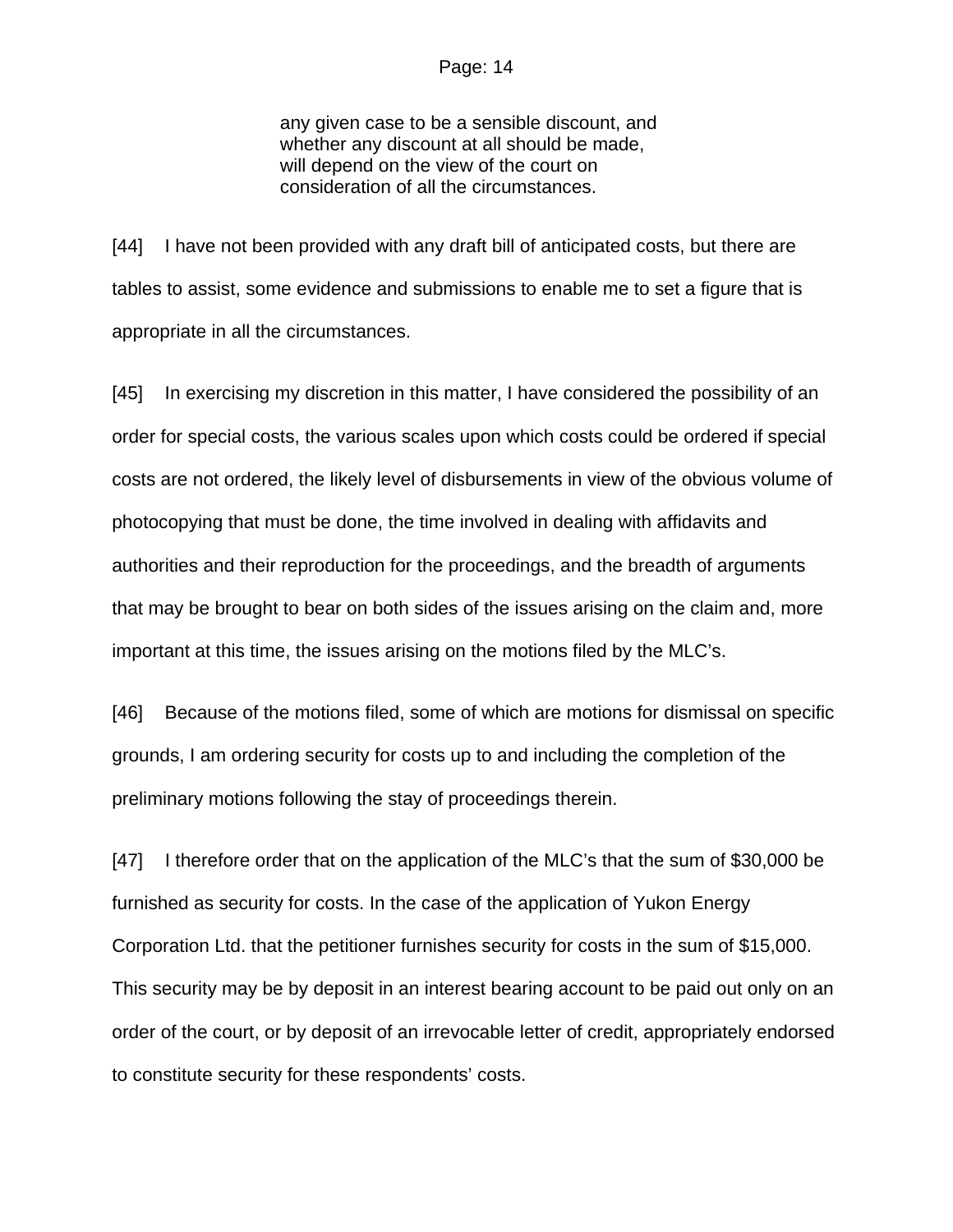any given case to be a sensible discount, and whether any discount at all should be made, will depend on the view of the court on consideration of all the circumstances.

[44] I have not been provided with any draft bill of anticipated costs, but there are tables to assist, some evidence and submissions to enable me to set a figure that is appropriate in all the circumstances.

[45] In exercising my discretion in this matter, I have considered the possibility of an order for special costs, the various scales upon which costs could be ordered if special costs are not ordered, the likely level of disbursements in view of the obvious volume of photocopying that must be done, the time involved in dealing with affidavits and authorities and their reproduction for the proceedings, and the breadth of arguments that may be brought to bear on both sides of the issues arising on the claim and, more important at this time, the issues arising on the motions filed by the MLC's.

[46] Because of the motions filed, some of which are motions for dismissal on specific grounds, I am ordering security for costs up to and including the completion of the preliminary motions following the stay of proceedings therein.

[47] I therefore order that on the application of the MLC's that the sum of \$30,000 be furnished as security for costs. In the case of the application of Yukon Energy Corporation Ltd. that the petitioner furnishes security for costs in the sum of \$15,000. This security may be by deposit in an interest bearing account to be paid out only on an order of the court, or by deposit of an irrevocable letter of credit, appropriately endorsed to constitute security for these respondents' costs.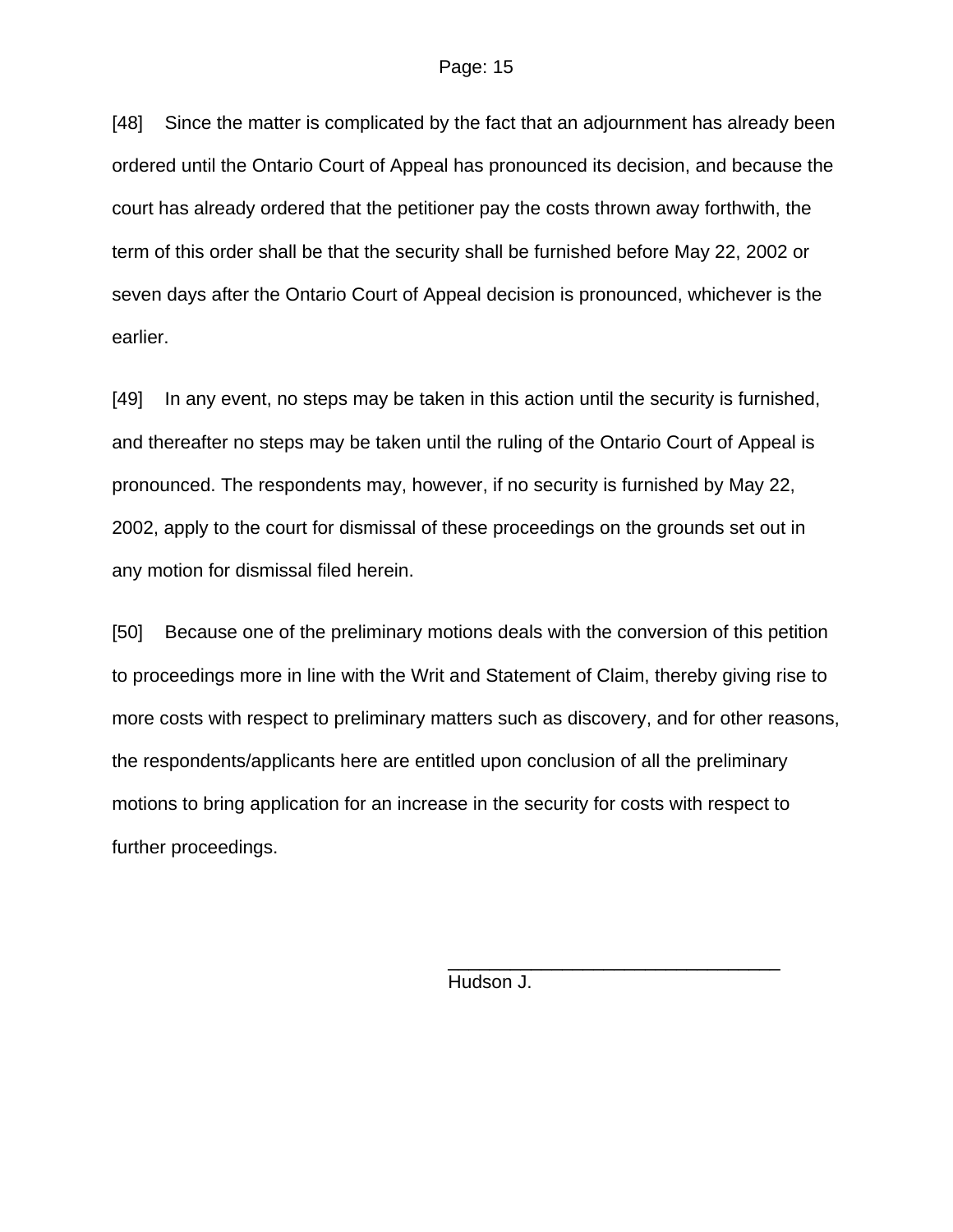[48] Since the matter is complicated by the fact that an adjournment has already been ordered until the Ontario Court of Appeal has pronounced its decision, and because the court has already ordered that the petitioner pay the costs thrown away forthwith, the term of this order shall be that the security shall be furnished before May 22, 2002 or seven days after the Ontario Court of Appeal decision is pronounced, whichever is the earlier.

[49] In any event, no steps may be taken in this action until the security is furnished, and thereafter no steps may be taken until the ruling of the Ontario Court of Appeal is pronounced. The respondents may, however, if no security is furnished by May 22, 2002, apply to the court for dismissal of these proceedings on the grounds set out in any motion for dismissal filed herein.

[50] Because one of the preliminary motions deals with the conversion of this petition to proceedings more in line with the Writ and Statement of Claim, thereby giving rise to more costs with respect to preliminary matters such as discovery, and for other reasons, the respondents/applicants here are entitled upon conclusion of all the preliminary motions to bring application for an increase in the security for costs with respect to further proceedings.

Hudson J.

 $\frac{1}{\sqrt{2\pi}}$  , which is a set of the set of the set of the set of the set of the set of the set of the set of the set of the set of the set of the set of the set of the set of the set of the set of the set of the set of